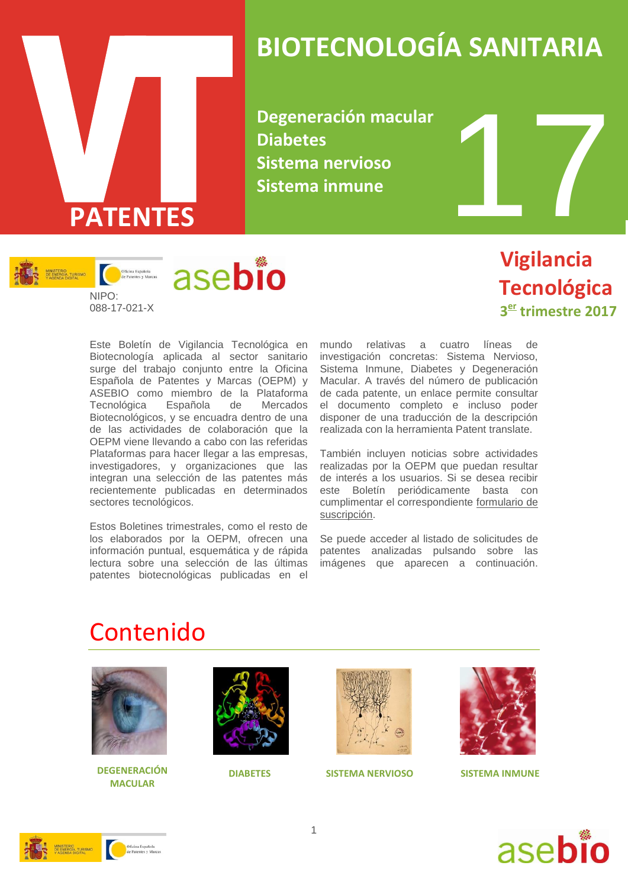

# **BIOTECNOLOGÍA SANITARIA**

**Degeneración macular Diabetes Sistema nervioso Sistema inmune**



 **Vigilancia Tecnológica 3 er trimestre 2017**

Este Boletín de Vigilancia Tecnológica en Biotecnología aplicada al sector sanitario surge del trabajo conjunto entre la Oficina Española de Patentes y Marcas (OEPM) y ASEBIO como miembro de la Plataforma Tecnológica Española de Mercados Biotecnológicos, y se encuadra dentro de una de las actividades de colaboración que la OEPM viene llevando a cabo con las referidas Plataformas para hacer llegar a las empresas, investigadores, y organizaciones que las integran una selección de las patentes más recientemente publicadas en determinados sectores tecnológicos.

Estos Boletines trimestrales, como el resto de los elaborados por la OEPM, ofrecen una información puntual, esquemática y de rápida lectura sobre una selección de las últimas patentes biotecnológicas publicadas en el

mundo relativas a cuatro líneas de investigación concretas: Sistema Nervioso, Sistema Inmune, Diabetes y Degeneración Macular. A través del número de publicación de cada patente, un enlace permite consultar el documento completo e incluso poder disponer de una traducción de la descripción realizada con la herramienta Patent translate.

También incluyen noticias sobre actividades realizadas por la OEPM que puedan resultar de interés a los usuarios. Si se desea recibir este Boletín periódicamente basta con cumplimentar el correspondiente [formulario de](http://www.oepm.es/es/informacion_tecnologica/informacion_gratuita/boletines_de_vigilancia_tecnologica/formulario.html)  [suscripción.](http://www.oepm.es/es/informacion_tecnologica/informacion_gratuita/boletines_de_vigilancia_tecnologica/formulario.html)

Se puede acceder al listado de solicitudes de patentes analizadas pulsando sobre las imágenes que aparecen a continuación.

## Contenido



**DEGENERACIÓN DIABETES SISTEMA NERVIOSO MACULAR**







**SISTEMA INMUNE**



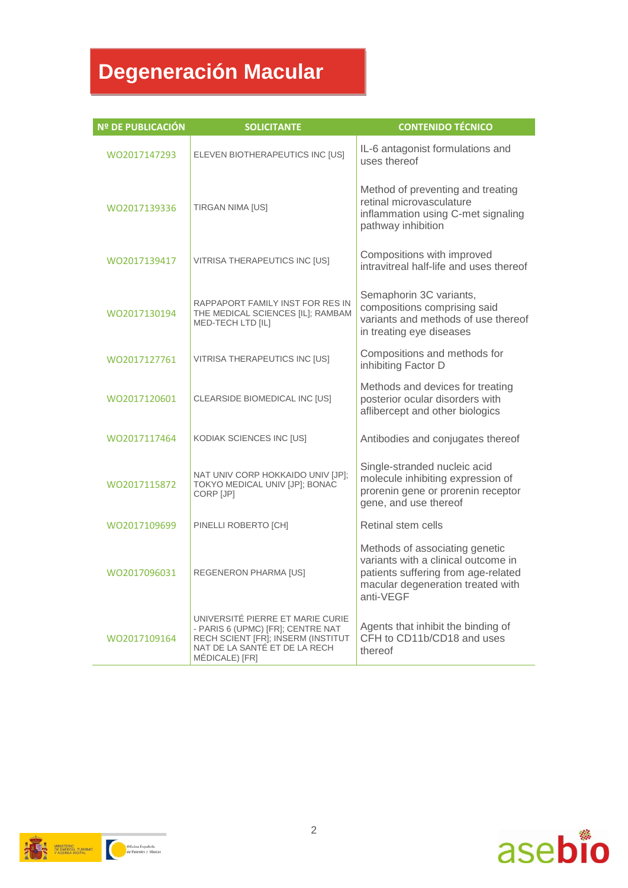# **Degeneración Macular**

| Nº DE PUBLICACIÓN | <b>SOLICITANTE</b>                                                                                                                                             | <b>CONTENIDO TÉCNICO</b>                                                                                                                                       |
|-------------------|----------------------------------------------------------------------------------------------------------------------------------------------------------------|----------------------------------------------------------------------------------------------------------------------------------------------------------------|
| WO2017147293      | ELEVEN BIOTHERAPEUTICS INC [US]                                                                                                                                | IL-6 antagonist formulations and<br>uses thereof                                                                                                               |
| WO2017139336      | TIRGAN NIMA [US]                                                                                                                                               | Method of preventing and treating<br>retinal microvasculature<br>inflammation using C-met signaling<br>pathway inhibition                                      |
| WO2017139417      | VITRISA THERAPEUTICS INC [US]                                                                                                                                  | Compositions with improved<br>intravitreal half-life and uses thereof                                                                                          |
| WO2017130194      | RAPPAPORT FAMILY INST FOR RES IN<br>THE MEDICAL SCIENCES [IL]; RAMBAM<br>MED-TECH LTD [IL]                                                                     | Semaphorin 3C variants,<br>compositions comprising said<br>variants and methods of use thereof<br>in treating eye diseases                                     |
| WO2017127761      | VITRISA THERAPEUTICS INC [US]                                                                                                                                  | Compositions and methods for<br>inhibiting Factor D                                                                                                            |
| WO2017120601      | CLEARSIDE BIOMEDICAL INC [US]                                                                                                                                  | Methods and devices for treating<br>posterior ocular disorders with<br>aflibercept and other biologics                                                         |
| WO2017117464      | KODIAK SCIENCES INC [US]                                                                                                                                       | Antibodies and conjugates thereof                                                                                                                              |
| WO2017115872      | NAT UNIV CORP HOKKAIDO UNIV [JP];<br>TOKYO MEDICAL UNIV [JP]; BONAC<br>CORP [JP]                                                                               | Single-stranded nucleic acid<br>molecule inhibiting expression of<br>prorenin gene or prorenin receptor<br>gene, and use thereof                               |
| WO2017109699      | PINELLI ROBERTO [CH]                                                                                                                                           | Retinal stem cells                                                                                                                                             |
| WO2017096031      | <b>REGENERON PHARMA [US]</b>                                                                                                                                   | Methods of associating genetic<br>variants with a clinical outcome in<br>patients suffering from age-related<br>macular degeneration treated with<br>anti-VEGF |
| WO2017109164      | UNIVERSITÉ PIERRE ET MARIE CURIE<br>- PARIS 6 (UPMC) [FR]; CENTRE NAT<br>RECH SCIENT [FR]; INSERM (INSTITUT<br>NAT DE LA SANTÉ ET DE LA RECH<br>MÉDICALE) [FR] | Agents that inhibit the binding of<br>CFH to CD11b/CD18 and uses<br>thereof                                                                                    |

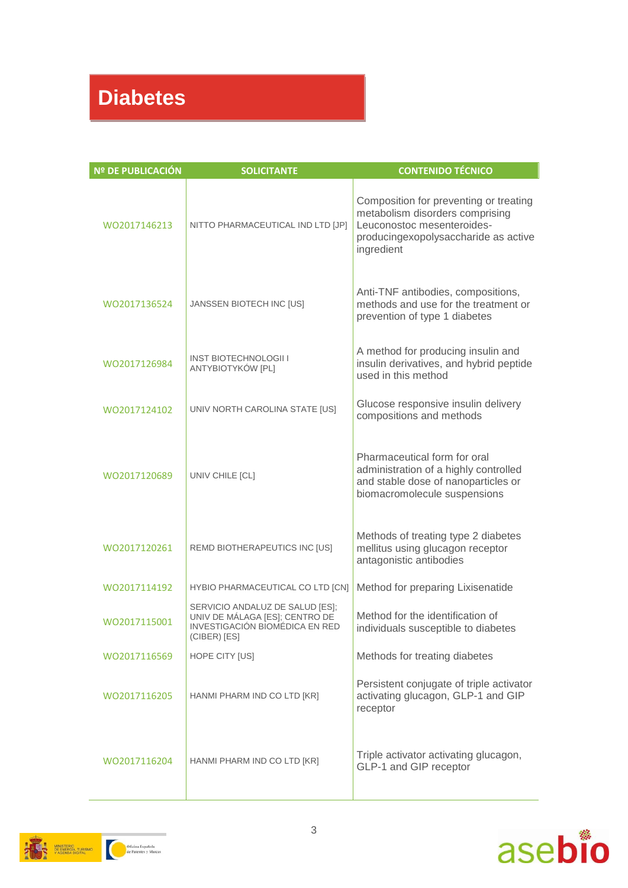# **Diabetes**

| <b>Nº DE PUBLICACIÓN</b> | <b>SOLICITANTE</b>                                                                                                  | <b>CONTENIDO TÉCNICO</b>                                                                                                                                      |
|--------------------------|---------------------------------------------------------------------------------------------------------------------|---------------------------------------------------------------------------------------------------------------------------------------------------------------|
| WO2017146213             | NITTO PHARMACEUTICAL IND LTD [JP]                                                                                   | Composition for preventing or treating<br>metabolism disorders comprising<br>Leuconostoc mesenteroides-<br>producingexopolysaccharide as active<br>ingredient |
| WO2017136524             | JANSSEN BIOTECH INC [US]                                                                                            | Anti-TNF antibodies, compositions,<br>methods and use for the treatment or<br>prevention of type 1 diabetes                                                   |
| WO2017126984             | <b>INST BIOTECHNOLOGII I</b><br>ANTYBIOTYKÓW [PL]                                                                   | A method for producing insulin and<br>insulin derivatives, and hybrid peptide<br>used in this method                                                          |
| WO2017124102             | UNIV NORTH CAROLINA STATE [US]                                                                                      | Glucose responsive insulin delivery<br>compositions and methods                                                                                               |
| WO2017120689             | UNIV CHILE [CL]                                                                                                     | Pharmaceutical form for oral<br>administration of a highly controlled<br>and stable dose of nanoparticles or<br>biomacromolecule suspensions                  |
| WO2017120261             | REMD BIOTHERAPEUTICS INC [US]                                                                                       | Methods of treating type 2 diabetes<br>mellitus using glucagon receptor<br>antagonistic antibodies                                                            |
| WO2017114192             | HYBIO PHARMACEUTICAL CO LTD [CN]                                                                                    | Method for preparing Lixisenatide                                                                                                                             |
| WO2017115001             | SERVICIO ANDALUZ DE SALUD [ES];<br>UNIV DE MÁLAGA [ES]; CENTRO DE<br>INVESTIGACIÓN BIOMÉDICA EN RED<br>(CIBER) [ES] | Method for the identification of<br>individuals susceptible to diabetes                                                                                       |
| WO2017116569             | HOPE CITY [US]                                                                                                      | Methods for treating diabetes                                                                                                                                 |
| WO2017116205             | HANMI PHARM IND CO LTD [KR]                                                                                         | Persistent conjugate of triple activator<br>activating glucagon, GLP-1 and GIP<br>receptor                                                                    |
| WO2017116204             | HANMI PHARM IND CO LTD [KR]                                                                                         | Triple activator activating glucagon,<br>GLP-1 and GIP receptor                                                                                               |



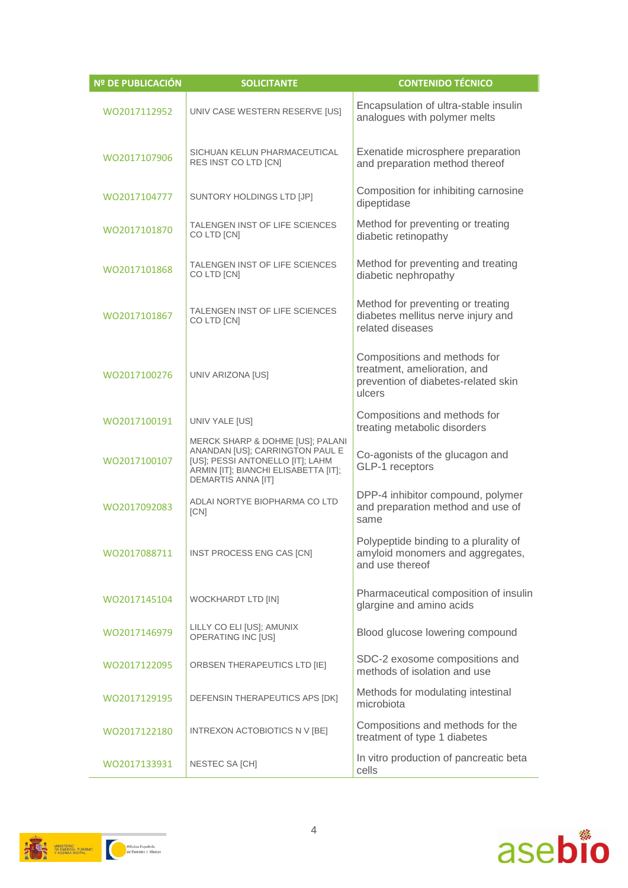| Nº DE PUBLICACIÓN | <b>SOLICITANTE</b>                                                                                                                                                    | <b>CONTENIDO TÉCNICO</b>                                                                                      |
|-------------------|-----------------------------------------------------------------------------------------------------------------------------------------------------------------------|---------------------------------------------------------------------------------------------------------------|
| WO2017112952      | UNIV CASE WESTERN RESERVE [US]                                                                                                                                        | Encapsulation of ultra-stable insulin<br>analogues with polymer melts                                         |
| WO2017107906      | SICHUAN KELUN PHARMACEUTICAL<br>RES INST CO LTD [CN]                                                                                                                  | Exenatide microsphere preparation<br>and preparation method thereof                                           |
| WO2017104777      | SUNTORY HOLDINGS LTD [JP]                                                                                                                                             | Composition for inhibiting carnosine<br>dipeptidase                                                           |
| WO2017101870      | TALENGEN INST OF LIFE SCIENCES<br>CO LTD [CN]                                                                                                                         | Method for preventing or treating<br>diabetic retinopathy                                                     |
| WO2017101868      | TALENGEN INST OF LIFE SCIENCES<br>CO LTD [CN]                                                                                                                         | Method for preventing and treating<br>diabetic nephropathy                                                    |
| WO2017101867      | TALENGEN INST OF LIFE SCIENCES<br>CO LTD [CN]                                                                                                                         | Method for preventing or treating<br>diabetes mellitus nerve injury and<br>related diseases                   |
| WO2017100276      | UNIV ARIZONA [US]                                                                                                                                                     | Compositions and methods for<br>treatment, amelioration, and<br>prevention of diabetes-related skin<br>ulcers |
| WO2017100191      | UNIV YALE [US]                                                                                                                                                        | Compositions and methods for<br>treating metabolic disorders                                                  |
| WO2017100107      | MERCK SHARP & DOHME [US]; PALANI<br>ANANDAN [US]; CARRINGTON PAUL E<br>[US]; PESSI ANTONELLO [IT]; LAHM<br>ARMIN [IT]; BIANCHI ELISABETTA [IT];<br>DEMARTIS ANNA [IT] | Co-agonists of the glucagon and<br>GLP-1 receptors                                                            |
| WO2017092083      | ADLAI NORTYE BIOPHARMA CO LTD<br>[CN]                                                                                                                                 | DPP-4 inhibitor compound, polymer<br>and preparation method and use of<br>same                                |
| WO2017088711      | INST PROCESS ENG CAS [CN]                                                                                                                                             | Polypeptide binding to a plurality of<br>amyloid monomers and aggregates,<br>and use thereof                  |
| WO2017145104      | WOCKHARDT LTD [IN]                                                                                                                                                    | Pharmaceutical composition of insulin<br>glargine and amino acids                                             |
| WO2017146979      | LILLY CO ELI [US]; AMUNIX<br>OPERATING INC [US]                                                                                                                       | Blood glucose lowering compound                                                                               |
| WO2017122095      | ORBSEN THERAPEUTICS LTD [IE]                                                                                                                                          | SDC-2 exosome compositions and<br>methods of isolation and use                                                |
| WO2017129195      | DEFENSIN THERAPEUTICS APS [DK]                                                                                                                                        | Methods for modulating intestinal<br>microbiota                                                               |
| WO2017122180      | INTREXON ACTOBIOTICS N V [BE]                                                                                                                                         | Compositions and methods for the<br>treatment of type 1 diabetes                                              |
| WO2017133931      | NESTEC SA [CH]                                                                                                                                                        | In vitro production of pancreatic beta<br>cells                                                               |



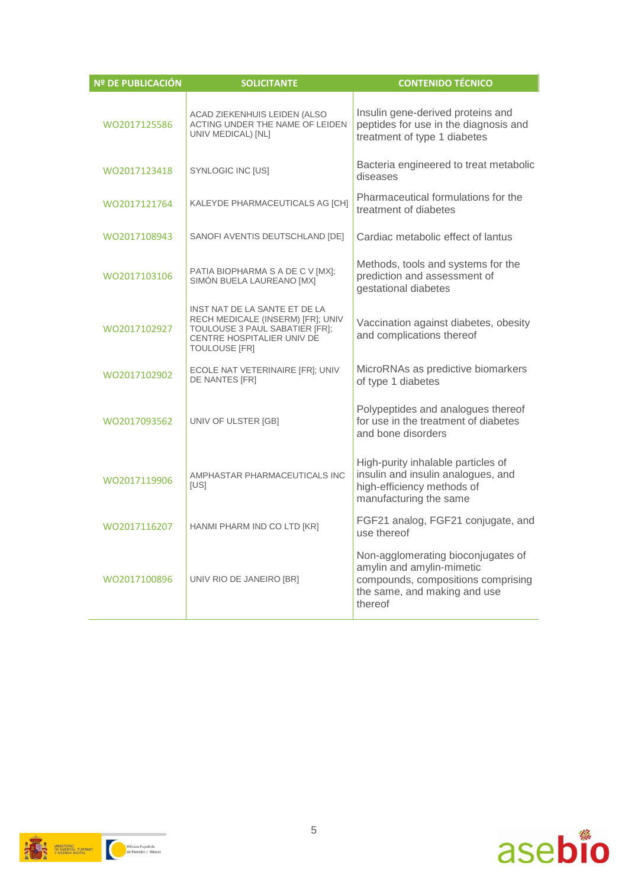| <b>Nº DE PUBLICACIÓN</b> | <b>SOLICITANTE</b>                                                                                                                                         | <b>CONTENIDO TÉCNICO</b>                                                                                                                         |
|--------------------------|------------------------------------------------------------------------------------------------------------------------------------------------------------|--------------------------------------------------------------------------------------------------------------------------------------------------|
| WO2017125586             | ACAD ZIEKENHUIS LEIDEN (ALSO<br>ACTING UNDER THE NAME OF LEIDEN<br>UNIV MEDICAL) [NL]                                                                      | Insulin gene-derived proteins and<br>peptides for use in the diagnosis and<br>treatment of type 1 diabetes                                       |
| W02017123418             | SYNLOGIC INC [US]                                                                                                                                          | Bacteria engineered to treat metabolic<br>diseases                                                                                               |
| WO2017121764             | KALEYDE PHARMACEUTICALS AG [CH]                                                                                                                            | Pharmaceutical formulations for the<br>treatment of diabetes                                                                                     |
| WO2017108943             | SANOFI AVENTIS DEUTSCHLAND [DE]                                                                                                                            | Cardiac metabolic effect of lantus                                                                                                               |
| WO2017103106             | PATIA BIOPHARMA S A DE C V [MX];<br>SIMÓN BUELA LAUREANO [MX]                                                                                              | Methods, tools and systems for the<br>prediction and assessment of<br>gestational diabetes                                                       |
| WO2017102927             | INST NAT DE LA SANTE ET DE LA<br>RECH MEDICALE (INSERM) [FR]; UNIV<br>TOULOUSE 3 PAUL SABATIER [FR];<br>CENTRE HOSPITALIER UNIV DE<br><b>TOULOUSE [FR]</b> | Vaccination against diabetes, obesity<br>and complications thereof                                                                               |
| WO2017102902             | ECOLE NAT VETERINAIRE [FR]; UNIV<br>DE NANTES [FR]                                                                                                         | MicroRNAs as predictive biomarkers<br>of type 1 diabetes                                                                                         |
| WO2017093562             | UNIV OF ULSTER [GB]                                                                                                                                        | Polypeptides and analogues thereof<br>for use in the treatment of diabetes<br>and bone disorders                                                 |
| WO2017119906             | AMPHASTAR PHARMACEUTICALS INC<br>[US]                                                                                                                      | High-purity inhalable particles of<br>insulin and insulin analogues, and<br>high-efficiency methods of<br>manufacturing the same                 |
| WO2017116207             | HANMI PHARM IND CO LTD [KR]                                                                                                                                | FGF21 analog, FGF21 conjugate, and<br>use thereof                                                                                                |
| WO2017100896             | UNIV RIO DE JANEIRO [BR]                                                                                                                                   | Non-agglomerating bioconjugates of<br>amylin and amylin-mimetic<br>compounds, compositions comprising<br>the same, and making and use<br>thereof |



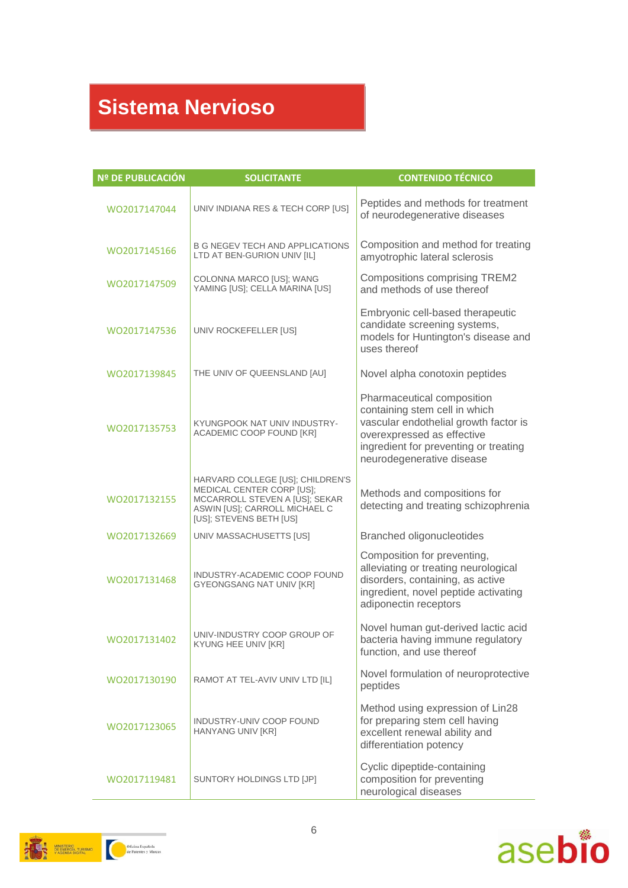# **Sistema Nervioso**

| Nº DE PUBLICACIÓN | <b>SOLICITANTE</b>                                                                                                                                          | <b>CONTENIDO TÉCNICO</b>                                                                                                                                                                                 |
|-------------------|-------------------------------------------------------------------------------------------------------------------------------------------------------------|----------------------------------------------------------------------------------------------------------------------------------------------------------------------------------------------------------|
| WO2017147044      | UNIV INDIANA RES & TECH CORP [US]                                                                                                                           | Peptides and methods for treatment<br>of neurodegenerative diseases                                                                                                                                      |
| WO2017145166      | <b>B G NEGEV TECH AND APPLICATIONS</b><br>LTD AT BEN-GURION UNIV [IL]                                                                                       | Composition and method for treating<br>amyotrophic lateral sclerosis                                                                                                                                     |
| WO2017147509      | COLONNA MARCO [US]; WANG<br>YAMING [US]; CELLA MARINA [US]                                                                                                  | <b>Compositions comprising TREM2</b><br>and methods of use thereof                                                                                                                                       |
| WO2017147536      | UNIV ROCKEFELLER [US]                                                                                                                                       | Embryonic cell-based therapeutic<br>candidate screening systems,<br>models for Huntington's disease and<br>uses thereof                                                                                  |
| WO2017139845      | THE UNIV OF QUEENSLAND [AU]                                                                                                                                 | Novel alpha conotoxin peptides                                                                                                                                                                           |
| WO2017135753      | KYUNGPOOK NAT UNIV INDUSTRY-<br>ACADEMIC COOP FOUND [KR]                                                                                                    | Pharmaceutical composition<br>containing stem cell in which<br>vascular endothelial growth factor is<br>overexpressed as effective<br>ingredient for preventing or treating<br>neurodegenerative disease |
| WO2017132155      | HARVARD COLLEGE [US]; CHILDREN'S<br>MEDICAL CENTER CORP [US];<br>MCCARROLL STEVEN A [US]; SEKAR<br>ASWIN [US]; CARROLL MICHAEL C<br>[US]; STEVENS BETH [US] | Methods and compositions for<br>detecting and treating schizophrenia                                                                                                                                     |
| WO2017132669      | UNIV MASSACHUSETTS [US]                                                                                                                                     | Branched oligonucleotides                                                                                                                                                                                |
| WO2017131468      | INDUSTRY-ACADEMIC COOP FOUND<br><b>GYEONGSANG NAT UNIV [KR]</b>                                                                                             | Composition for preventing,<br>alleviating or treating neurological<br>disorders, containing, as active<br>ingredient, novel peptide activating<br>adiponectin receptors                                 |
| WO2017131402      | UNIV-INDUSTRY COOP GROUP OF<br>KYUNG HEE UNIV [KR]                                                                                                          | Novel human gut-derived lactic acid<br>bacteria having immune regulatory<br>function, and use thereof                                                                                                    |
| WO2017130190      | RAMOT AT TEL-AVIV UNIV LTD [IL]                                                                                                                             | Novel formulation of neuroprotective<br>peptides                                                                                                                                                         |
| WO2017123065      | INDUSTRY-UNIV COOP FOUND<br>HANYANG UNIV [KR]                                                                                                               | Method using expression of Lin28<br>for preparing stem cell having<br>excellent renewal ability and<br>differentiation potency                                                                           |
| WO2017119481      | SUNTORY HOLDINGS LTD [JP]                                                                                                                                   | Cyclic dipeptide-containing<br>composition for preventing<br>neurological diseases                                                                                                                       |



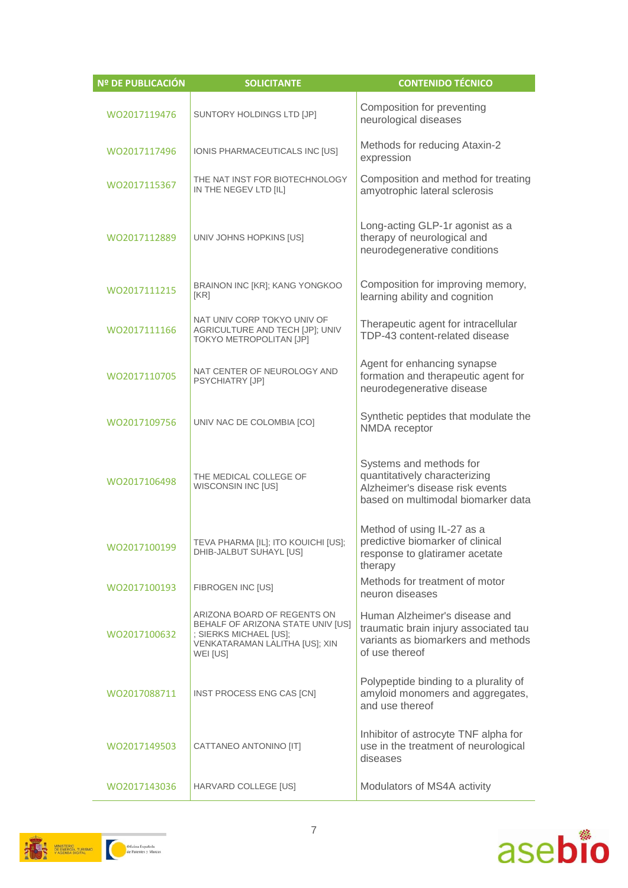| Nº DE PUBLICACIÓN | <b>SOLICITANTE</b>                                                                                                                       | <b>CONTENIDO TÉCNICO</b>                                                                                                          |
|-------------------|------------------------------------------------------------------------------------------------------------------------------------------|-----------------------------------------------------------------------------------------------------------------------------------|
| WO2017119476      | SUNTORY HOLDINGS LTD [JP]                                                                                                                | Composition for preventing<br>neurological diseases                                                                               |
| WO2017117496      | IONIS PHARMACEUTICALS INC [US]                                                                                                           | Methods for reducing Ataxin-2<br>expression                                                                                       |
| WO2017115367      | THE NAT INST FOR BIOTECHNOLOGY<br>IN THE NEGEV LTD [IL]                                                                                  | Composition and method for treating<br>amyotrophic lateral sclerosis                                                              |
| WO2017112889      | UNIV JOHNS HOPKINS [US]                                                                                                                  | Long-acting GLP-1r agonist as a<br>therapy of neurological and<br>neurodegenerative conditions                                    |
| WO2017111215      | BRAINON INC [KR]; KANG YONGKOO<br>[KR]                                                                                                   | Composition for improving memory,<br>learning ability and cognition                                                               |
| WO2017111166      | NAT UNIV CORP TOKYO UNIV OF<br>AGRICULTURE AND TECH [JP]; UNIV<br>TOKYO METROPOLITAN [JP]                                                | Therapeutic agent for intracellular<br>TDP-43 content-related disease                                                             |
| WO2017110705      | NAT CENTER OF NEUROLOGY AND<br><b>PSYCHIATRY [JP]</b>                                                                                    | Agent for enhancing synapse<br>formation and therapeutic agent for<br>neurodegenerative disease                                   |
| WO2017109756      | UNIV NAC DE COLOMBIA [CO]                                                                                                                | Synthetic peptides that modulate the<br>NMDA receptor                                                                             |
| WO2017106498      | THE MEDICAL COLLEGE OF<br>WISCONSIN INC [US]                                                                                             | Systems and methods for<br>quantitatively characterizing<br>Alzheimer's disease risk events<br>based on multimodal biomarker data |
| WO2017100199      | TEVA PHARMA [IL]; ITO KOUICHI [US];<br>DHIB-JALBUT SUHAYL [US]                                                                           | Method of using IL-27 as a<br>predictive biomarker of clinical<br>response to glatiramer acetate<br>therapy                       |
| WO2017100193      | FIBROGEN INC [US]                                                                                                                        | Methods for treatment of motor<br>neuron diseases                                                                                 |
| WO2017100632      | ARIZONA BOARD OF REGENTS ON<br>BEHALF OF ARIZONA STATE UNIV [US]<br>: SIERKS MICHAEL [US]:<br>VENKATARAMAN LALITHA [US]; XIN<br>WEI [US] | Human Alzheimer's disease and<br>traumatic brain injury associated tau<br>variants as biomarkers and methods<br>of use thereof    |
| WO2017088711      | INST PROCESS ENG CAS [CN]                                                                                                                | Polypeptide binding to a plurality of<br>amyloid monomers and aggregates,<br>and use thereof                                      |
| WO2017149503      | CATTANEO ANTONINO [IT]                                                                                                                   | Inhibitor of astrocyte TNF alpha for<br>use in the treatment of neurological<br>diseases                                          |
| WO2017143036      | HARVARD COLLEGE [US]                                                                                                                     | Modulators of MS4A activity                                                                                                       |



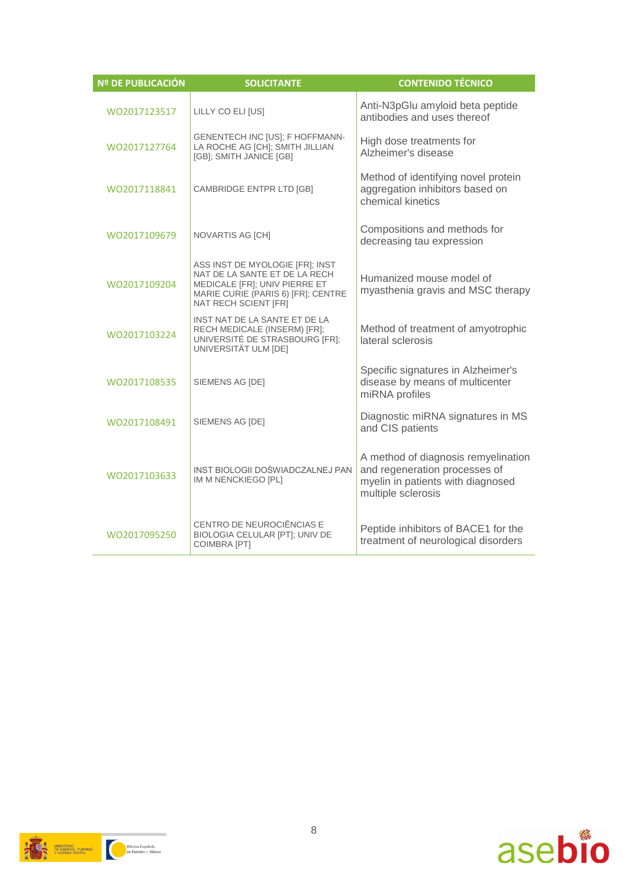| Nº DE PUBLICACIÓN | <b>SOLICITANTE</b>                                                                                                                                              | <b>CONTENIDO TÉCNICO</b>                                                                                                        |
|-------------------|-----------------------------------------------------------------------------------------------------------------------------------------------------------------|---------------------------------------------------------------------------------------------------------------------------------|
| WO2017123517      | LILLY CO ELI [US]                                                                                                                                               | Anti-N3pGlu amyloid beta peptide<br>antibodies and uses thereof                                                                 |
| WO2017127764      | GENENTECH INC [US]; F HOFFMANN-<br>LA ROCHE AG [CH]; SMITH JILLIAN<br>[GB]; SMITH JANICE [GB]                                                                   | High dose treatments for<br>Alzheimer's disease                                                                                 |
| WO2017118841      | CAMBRIDGE ENTPR LTD [GB]                                                                                                                                        | Method of identifying novel protein<br>aggregation inhibitors based on<br>chemical kinetics                                     |
| WO2017109679      | NOVARTIS AG [CH]                                                                                                                                                | Compositions and methods for<br>decreasing tau expression                                                                       |
| WO2017109204      | ASS INST DE MYOLOGIE [FR]; INST<br>NAT DE LA SANTE ET DE LA RECH<br>MEDICALE [FR]; UNIV PIERRE ET<br>MARIE CURIE (PARIS 6) [FR]; CENTRE<br>NAT RECH SCIENT [FR] | Humanized mouse model of<br>myasthenia gravis and MSC therapy                                                                   |
| WO2017103224      | INST NAT DE LA SANTE ET DE LA<br>RECH MEDICALE (INSERM) [FR];<br>UNIVERSITÉ DE STRASBOURG [FR];<br>UNIVERSITÄT ULM [DE]                                         | Method of treatment of amyotrophic<br>lateral sclerosis                                                                         |
| WO2017108535      | SIEMENS AG [DE]                                                                                                                                                 | Specific signatures in Alzheimer's<br>disease by means of multicenter<br>miRNA profiles                                         |
| WO2017108491      | SIEMENS AG [DE]                                                                                                                                                 | Diagnostic miRNA signatures in MS<br>and CIS patients                                                                           |
| WO2017103633      | INST BIOLOGII DOŚWIADCZALNEJ PAN<br>IM M NENCKIEGO [PL]                                                                                                         | A method of diagnosis remyelination<br>and regeneration processes of<br>myelin in patients with diagnosed<br>multiple sclerosis |
| WO2017095250      | CENTRO DE NEUROCIÊNCIAS E<br>BIOLOGIA CELULAR [PT]; UNIV DE<br><b>COIMBRA [PT]</b>                                                                              | Peptide inhibitors of BACE1 for the<br>treatment of neurological disorders                                                      |

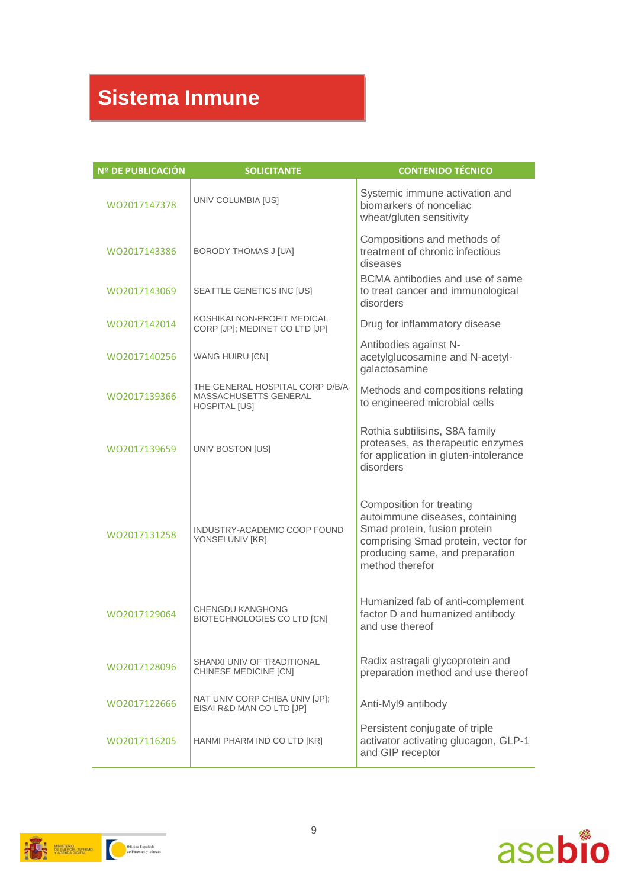# **Sistema Inmune**

| Nº DE PUBLICACIÓN | <b>SOLICITANTE</b>                                                               | <b>CONTENIDO TÉCNICO</b>                                                                                                                                                                 |
|-------------------|----------------------------------------------------------------------------------|------------------------------------------------------------------------------------------------------------------------------------------------------------------------------------------|
| WO2017147378      | UNIV COLUMBIA [US]                                                               | Systemic immune activation and<br>biomarkers of nonceliac<br>wheat/gluten sensitivity                                                                                                    |
| WO2017143386      | <b>BORODY THOMAS J [UA]</b>                                                      | Compositions and methods of<br>treatment of chronic infectious<br>diseases                                                                                                               |
| WO2017143069      | SEATTLE GENETICS INC [US]                                                        | BCMA antibodies and use of same<br>to treat cancer and immunological<br>disorders                                                                                                        |
| WO2017142014      | KOSHIKAI NON-PROFIT MEDICAL<br>CORP [JP]; MEDINET CO LTD [JP]                    | Drug for inflammatory disease                                                                                                                                                            |
| WO2017140256      | <b>WANG HUIRU [CN]</b>                                                           | Antibodies against N-<br>acetylglucosamine and N-acetyl-<br>galactosamine                                                                                                                |
| WO2017139366      | THE GENERAL HOSPITAL CORP D/B/A<br>MASSACHUSETTS GENERAL<br><b>HOSPITAL [US]</b> | Methods and compositions relating<br>to engineered microbial cells                                                                                                                       |
| WO2017139659      | UNIV BOSTON [US]                                                                 | Rothia subtilisins, S8A family<br>proteases, as therapeutic enzymes<br>for application in gluten-intolerance<br>disorders                                                                |
| WO2017131258      | INDUSTRY-ACADEMIC COOP FOUND<br>YONSEI UNIV [KR]                                 | Composition for treating<br>autoimmune diseases, containing<br>Smad protein, fusion protein<br>comprising Smad protein, vector for<br>producing same, and preparation<br>method therefor |
| WO2017129064      | CHENGDU KANGHONG<br>BIOTECHNOLOGIES CO LTD [CN]                                  | Humanized fab of anti-complement<br>factor D and humanized antibody<br>and use thereof                                                                                                   |
| WO2017128096      | SHANXI UNIV OF TRADITIONAL<br>CHINESE MEDICINE [CN]                              | Radix astragali glycoprotein and<br>preparation method and use thereof                                                                                                                   |
| WO2017122666      | NAT UNIV CORP CHIBA UNIV [JP];<br>EISAI R&D MAN CO LTD [JP]                      | Anti-Myl9 antibody                                                                                                                                                                       |
| WO2017116205      | HANMI PHARM IND CO LTD [KR]                                                      | Persistent conjugate of triple<br>activator activating glucagon, GLP-1<br>and GIP receptor                                                                                               |



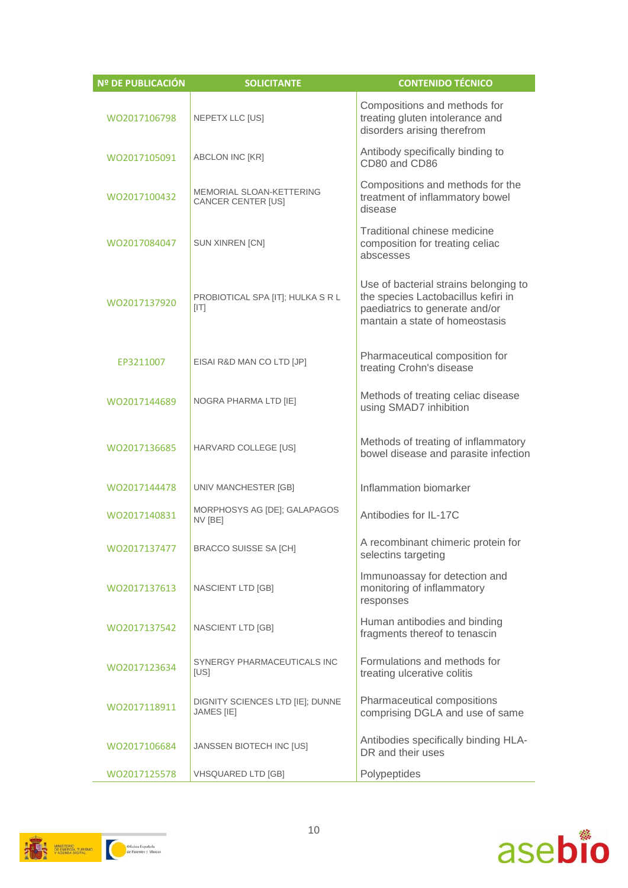| <b>Nº DE PUBLICACIÓN</b> | <b>SOLICITANTE</b>                                    | <b>CONTENIDO TÉCNICO</b>                                                                                                                         |
|--------------------------|-------------------------------------------------------|--------------------------------------------------------------------------------------------------------------------------------------------------|
| WO2017106798             | NEPETX LLC [US]                                       | Compositions and methods for<br>treating gluten intolerance and<br>disorders arising therefrom                                                   |
| WO2017105091             | ABCLON INC [KR]                                       | Antibody specifically binding to<br>CD80 and CD86                                                                                                |
| WO2017100432             | <b>MEMORIAL SLOAN-KETTERING</b><br>CANCER CENTER [US] | Compositions and methods for the<br>treatment of inflammatory bowel<br>disease                                                                   |
| WO2017084047             | SUN XINREN [CN]                                       | Traditional chinese medicine<br>composition for treating celiac<br>abscesses                                                                     |
| WO2017137920             | PROBIOTICAL SPA [IT]; HULKA S R L<br>[ T ]            | Use of bacterial strains belonging to<br>the species Lactobacillus kefiri in<br>paediatrics to generate and/or<br>mantain a state of homeostasis |
| EP3211007                | EISAI R&D MAN CO LTD [JP]                             | Pharmaceutical composition for<br>treating Crohn's disease                                                                                       |
| WO2017144689             | NOGRA PHARMA LTD [IE]                                 | Methods of treating celiac disease<br>using SMAD7 inhibition                                                                                     |
| WO2017136685             | HARVARD COLLEGE [US]                                  | Methods of treating of inflammatory<br>bowel disease and parasite infection                                                                      |
| WO2017144478             | UNIV MANCHESTER [GB]                                  | Inflammation biomarker                                                                                                                           |
| WO2017140831             | MORPHOSYS AG [DE]; GALAPAGOS<br>NV [BE]               | Antibodies for IL-17C                                                                                                                            |
| WO2017137477             | BRACCO SUISSE SA [CH]                                 | A recombinant chimeric protein for<br>selectins targeting                                                                                        |
| WO2017137613             | NASCIENT LTD [GB]                                     | Immunoassay for detection and<br>monitoring of inflammatory<br>responses                                                                         |
| WO2017137542             | NASCIENT LTD [GB]                                     | Human antibodies and binding<br>fragments thereof to tenascin                                                                                    |
| WO2017123634             | SYNERGY PHARMACEUTICALS INC<br>[US]                   | Formulations and methods for<br>treating ulcerative colitis                                                                                      |
| W02017118911             | DIGNITY SCIENCES LTD [IE]; DUNNE<br>JAMES [IE]        | Pharmaceutical compositions<br>comprising DGLA and use of same                                                                                   |
| WO2017106684             | JANSSEN BIOTECH INC [US]                              | Antibodies specifically binding HLA-<br>DR and their uses                                                                                        |
| WO2017125578             | <b>VHSQUARED LTD [GB]</b>                             | Polypeptides                                                                                                                                     |



**AND STERO TURBANO**<br>
TANK PARTICULAR TURBANO OG TALL OF PREMIERS MARCH CONTACT CONTACT OF PREMIERS AND THE OF PREMIERS MARCH CONTACT OF PREMIERS OF PREMIERS OF PREMIERS OF PREMIERS OF PREMIERS OF PREMIERS OF PREMIERS OF PR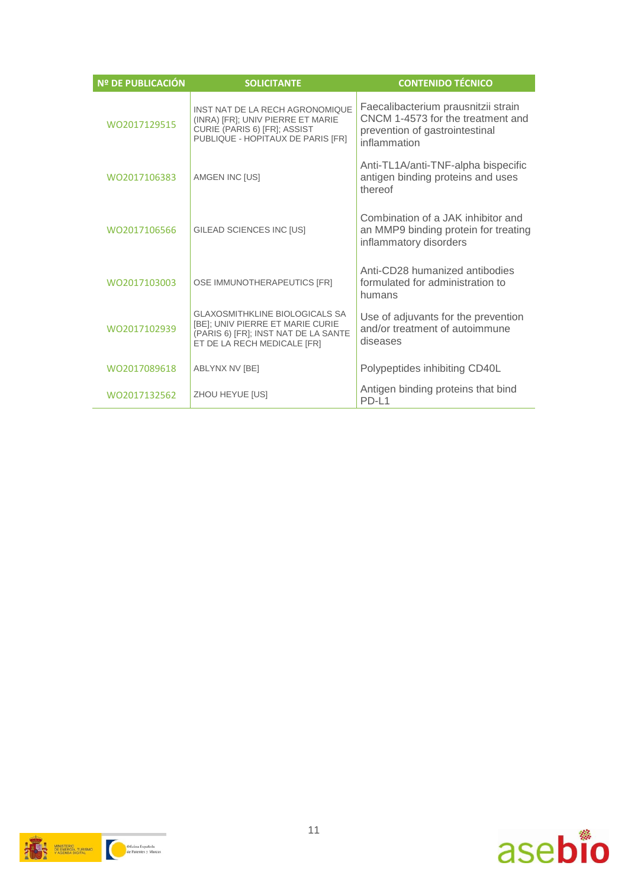| Nº DE PUBLICACIÓN | <b>SOLICITANTE</b>                                                                                                                               | <b>CONTENIDO TÉCNICO</b>                                                                                                   |
|-------------------|--------------------------------------------------------------------------------------------------------------------------------------------------|----------------------------------------------------------------------------------------------------------------------------|
| WO2017129515      | INST NAT DE LA RECH AGRONOMIQUE<br>(INRA) [FR]; UNIV PIERRE ET MARIE<br>CURIE (PARIS 6) [FR]; ASSIST<br>PUBLIQUE - HOPITAUX DE PARIS [FR]        | Faecalibacterium prausnitzii strain<br>CNCM 1-4573 for the treatment and<br>prevention of gastrointestinal<br>inflammation |
| WO2017106383      | AMGEN INC [US]                                                                                                                                   | Anti-TL1A/anti-TNF-alpha bispecific<br>antigen binding proteins and uses<br>thereof                                        |
| WO2017106566      | GILEAD SCIENCES INC [US]                                                                                                                         | Combination of a JAK inhibitor and<br>an MMP9 binding protein for treating<br>inflammatory disorders                       |
| WO2017103003      | OSE IMMUNOTHERAPEUTICS [FR]                                                                                                                      | Anti-CD28 humanized antibodies<br>formulated for administration to<br>humans                                               |
| WO2017102939      | <b>GLAXOSMITHKLINE BIOLOGICALS SA</b><br>[BE]; UNIV PIERRE ET MARIE CURIE<br>(PARIS 6) [FR]; INST NAT DE LA SANTE<br>ET DE LA RECH MEDICALE [FR] | Use of adjuvants for the prevention<br>and/or treatment of autoimmune<br>diseases                                          |
| WO2017089618      | ABLYNX NV [BE]                                                                                                                                   | Polypeptides inhibiting CD40L                                                                                              |
| WO2017132562      | ZHOU HEYUE [US]                                                                                                                                  | Antigen binding proteins that bind<br>PD-L1                                                                                |



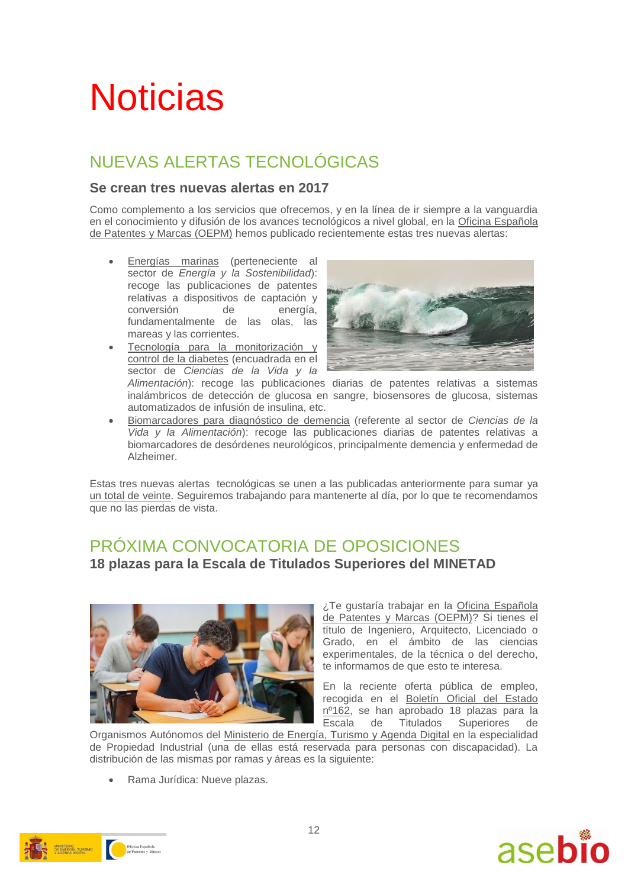# **Noticias**

### NUEVAS ALERTAS TECNOLÓGICAS

### **Se crean tres nuevas alertas en 2017**

Como complemento a los servicios que ofrecemos, y en la línea de ir siempre a la vanguardia en el conocimiento y difusión de los avances tecnológicos a nivel global, en la [Oficina Española](https://www.oepm.es/)  [de Patentes y Marcas \(OEPM\)](https://www.oepm.es/) hemos publicado recientemente estas tres nuevas alertas:

- [Energías marinas](http://www.oepm.es/es/informacion_tecnologica/informacion_gratuita/Alertas_Tecnologicas/detalle.html?id=1050) (perteneciente al sector de *Energía y la Sostenibilidad*): recoge las publicaciones de patentes relativas a dispositivos de captación y conversión de energía, fundamentalmente de las olas, las mareas y las corrientes.
- [Tecnología para la monitorización y](http://www.oepm.es/es/informacion_tecnologica/informacion_gratuita/Alertas_Tecnologicas/detalle.html?id=32600) [control de la diabetes](http://www.oepm.es/es/informacion_tecnologica/informacion_gratuita/Alertas_Tecnologicas/detalle.html?id=32600) (encuadrada en el sector de *Ciencias de la Vida y la*



*Alimentación*): recoge las publicaciones diarias de patentes relativas a sistemas inalámbricos de detección de glucosa en sangre, biosensores de glucosa, sistemas automatizados de infusión de insulina, etc.

 [Biomarcadores para diagnóstico de demencia](http://www.oepm.es/es/informacion_tecnologica/informacion_gratuita/Alertas_Tecnologicas/detalle.html?id=32750) (referente al sector de *Ciencias de la Vida y la Alimentación*): recoge las publicaciones diarias de patentes relativas a biomarcadores de desórdenes neurológicos, principalmente demencia y enfermedad de Alzheimer.

Estas tres nuevas alertas tecnológicas se unen a las publicadas anteriormente para sumar ya [un total de veinte.](http://www.oepm.es/es/informacion_tecnologica/informacion_gratuita/Alertas_Tecnologicas/index.html) Seguiremos trabajando para mantenerte al día, por lo que te recomendamos que no las pierdas de vista.

### PRÓXIMA CONVOCATORIA DE OPOSICIONES **18 plazas para la Escala de Titulados Superiores del MINETAD**



¿Te gustaría trabajar en la [Oficina Española](https://www.oepm.es/)  [de Patentes y Marcas \(OEPM\)?](https://www.oepm.es/) Si tienes el título de Ingeniero, Arquitecto, Licenciado o Grado, en el ámbito de las ciencias experimentales, de la técnica o del derecho, te informamos de que esto te interesa.

En la reciente oferta pública de empleo, recogida en el [Boletín Oficial del Estado](https://www.oepm.es/export/sites/oepm/comun/documentos_relacionados/Noticias/2017/2017_07_10_Oferta_Empleo_Publico_2017.pdf)  [nº162,](https://www.oepm.es/export/sites/oepm/comun/documentos_relacionados/Noticias/2017/2017_07_10_Oferta_Empleo_Publico_2017.pdf) se han aprobado 18 plazas para la Escala de Titulados Superiores de

Organismos Autónomos del [Ministerio de Energía, Turismo y Agenda Digital](http://www.minetad.gob.es/es-ES/Paginas/index.aspx) en la especialidad de Propiedad Industrial (una de ellas está reservada para personas con discapacidad). La distribución de las mismas por ramas y áreas es la siguiente:

Rama Jurídica: Nueve plazas.



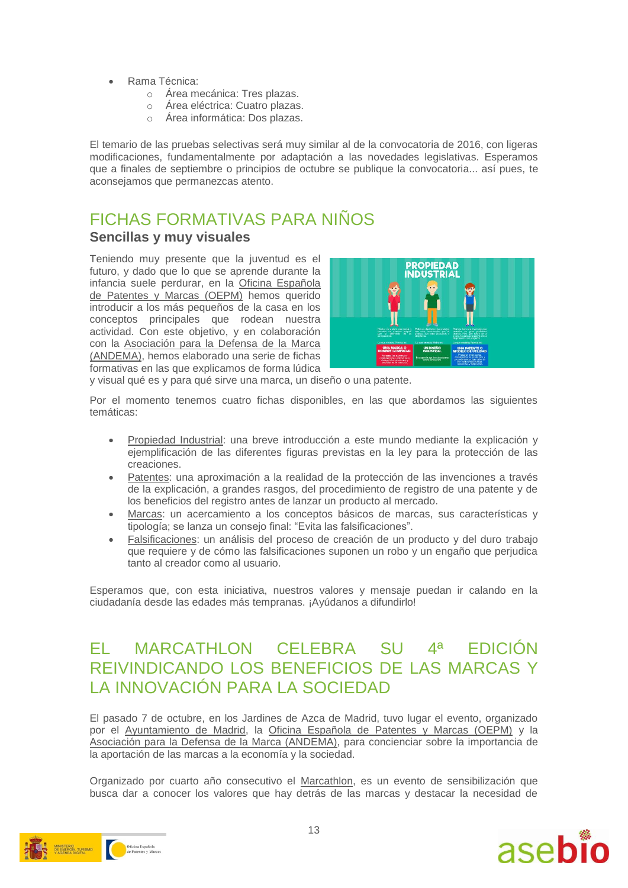- Rama Técnica:
	- o Área mecánica: Tres plazas.
	- o Área eléctrica: Cuatro plazas.
	- o Área informática: Dos plazas.

El temario de las pruebas selectivas será muy similar al de la convocatoria de 2016, con ligeras modificaciones, fundamentalmente por adaptación a las novedades legislativas. Esperamos que a finales de septiembre o principios de octubre se publique la convocatoria... así pues, te aconsejamos que permanezcas atento.

### FICHAS FORMATIVAS PARA NIÑOS **Sencillas y muy visuales**

Teniendo muy presente que la juventud es el futuro, y dado que lo que se aprende durante la infancia suele perdurar, en la [Oficina Española](https://www.oepm.es/)  [de Patentes y Marcas \(OEPM\)](https://www.oepm.es/) hemos querido introducir a los más pequeños de la casa en los conceptos principales que rodean nuestra actividad. Con este objetivo, y en colaboración con la [Asociación para la Defensa de la Marca](http://andema.camaras.org/)  [\(ANDEMA\),](http://andema.camaras.org/) hemos elaborado una serie de fichas formativas en las que explicamos de forma lúdica



y visual qué es y para qué sirve una marca, un diseño o una patente.

Por el momento tenemos cuatro fichas disponibles, en las que abordamos las siguientes temáticas:

- [Propiedad Industrial:](https://www.oepm.es/export/sites/oepm/comun/documentos_relacionados/sobre_oepm/Aula_de_Propiedad_Industrial/Ficha_Formativa_Propiedad_Industrial.pdf) una breve introducción a este mundo mediante la explicación y ejemplificación de las diferentes figuras previstas en la ley para la protección de las creaciones.
- [Patentes:](https://www.oepm.es/export/sites/oepm/comun/documentos_relacionados/sobre_oepm/Aula_de_Propiedad_Industrial/FichaFormativaPatentes.pdf) una aproximación a la realidad de la protección de las invenciones a través de la explicación, a grandes rasgos, del procedimiento de registro de una patente y de los beneficios del registro antes de lanzar un producto al mercado.
- [Marcas:](https://www.oepm.es/export/sites/oepm/comun/documentos_relacionados/sobre_oepm/Aula_de_Propiedad_Industrial/FichaFormativaMarcas.pdf) un acercamiento a los conceptos básicos de marcas, sus características y tipología; se lanza un consejo final: "Evita las falsificaciones".
- [Falsificaciones:](https://www.oepm.es/export/sites/oepm/comun/documentos_relacionados/sobre_oepm/Aula_de_Propiedad_Industrial/FichaFormativaFalsificaciones.pdf) un análisis del proceso de creación de un producto y del duro trabajo que requiere y de cómo las falsificaciones suponen un robo y un engaño que perjudica tanto al creador como al usuario.

Esperamos que, con esta iniciativa, nuestros valores y mensaje puedan ir calando en la ciudadanía desde las edades más tempranas. ¡Ayúdanos a difundirlo!

### EL MARCATHLON CELEBRA SU 4ª EDICIÓN REIVINDICANDO LOS BENEFICIOS DE LAS MARCAS Y LA INNOVACIÓN PARA LA SOCIEDAD

El pasado 7 de octubre, en los Jardines de Azca de Madrid, tuvo lugar el evento, organizado por el [Ayuntamiento de Madrid,](http://www.madrid.es/portal/site/munimadrid) la [Oficina Española de Patentes y Marcas \(OEPM\)](https://www.oepm.es/) y la [Asociación para la Defensa de la Marca \(ANDEMA\),](http://andema.camaras.org/) para concienciar sobre la importancia de la aportación de las marcas a la economía y la sociedad.

Organizado por cuarto año consecutivo el [Marcathlon,](https://www.oepm.es/es/sobre_oepm/notas_de_prensa/2017/2017_10_05_MarcathlonCelebra4edicion.html) es un evento de sensibilización que busca dar a conocer los valores que hay detrás de las marcas y destacar la necesidad de